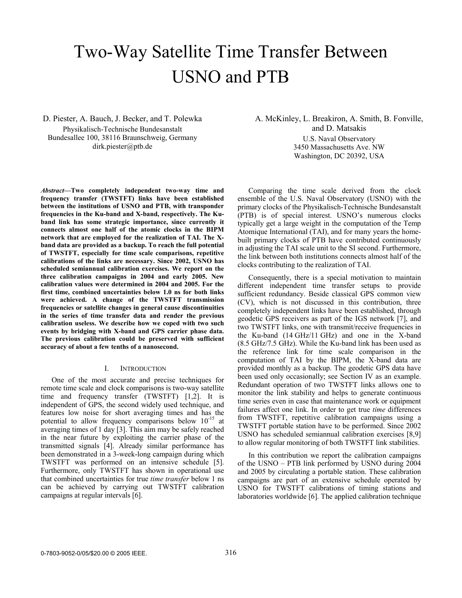# Two-Way Satellite Time Transfer Between USNO and PTB

D. Piester, A. Bauch, J. Becker, and T. Polewka Physikalisch-Technische Bundesanstalt Bundesallee 100, 38116 Braunschweig, Germany dirk.piester@ptb.de

*Abstract***—Two completely independent two-way time and frequency transfer (TWSTFT) links have been established between the institutions of USNO and PTB, with transponder frequencies in the Ku-band and X-band, respectively. The Kuband link has some strategic importance, since currently it connects almost one half of the atomic clocks in the BIPM network that are employed for the realization of TAI. The Xband data are provided as a backup. To reach the full potential of TWSTFT, especially for time scale comparisons, repetitive calibrations of the links are necessary. Since 2002, USNO has scheduled semiannual calibration exercises. We report on the three calibration campaigns in 2004 and early 2005. New calibration values were determined in 2004 and 2005. For the first time, combined uncertainties below 1.0 ns for both links were achieved. A change of the TWSTFT transmission frequencies or satellite changes in general cause discontinuities in the series of time transfer data and render the previous calibration useless. We describe how we coped with two such events by bridging with X-band and GPS carrier phase data. The previous calibration could be preserved with sufficient accuracy of about a few tenths of a nanosecond.** 

## I. INTRODUCTION

One of the most accurate and precise techniques for remote time scale and clock comparisons is two-way satellite time and frequency transfer (TWSTFT) [1,2]. It is independent of GPS, the second widely used technique, and features low noise for short averaging times and has the potential to allow frequency comparisons below  $10^{-15}$  at averaging times of 1 day [3]. This aim may be safely reached in the near future by exploiting the carrier phase of the transmitted signals [4]. Already similar performance has been demonstrated in a 3-week-long campaign during which TWSTFT was performed on an intensive schedule [5]. Furthermore, only TWSTFT has shown in operational use that combined uncertainties for true *time transfer* below 1 ns can be achieved by carrying out TWSTFT calibration campaigns at regular intervals [6].

A. McKinley, L. Breakiron, A. Smith, B. Fonville, and D. Matsakis U.S. Naval Observatory 3450 Massachusetts Ave. NW Washington, DC 20392, USA

Comparing the time scale derived from the clock ensemble of the U.S. Naval Observatory (USNO) with the primary clocks of the Physikalisch-Technische Bundesanstalt (PTB) is of special interest. USNO's numerous clocks typically get a large weight in the computation of the Temp Atomique International (TAI), and for many years the homebuilt primary clocks of PTB have contributed continuously in adjusting the TAI scale unit to the SI second. Furthermore, the link between both institutions connects almost half of the clocks contributing to the realization of TAI.

Consequently, there is a special motivation to maintain different independent time transfer setups to provide sufficient redundancy. Beside classical GPS common view (CV), which is not discussed in this contribution, three completely independent links have been established, through geodetic GPS receivers as part of the IGS network [7], and two TWSTFT links, one with transmit/receive frequencies in the Ku-band (14 GHz/11 GHz) and one in the X-band (8.5 GHz/7.5 GHz). While the Ku-band link has been used as the reference link for time scale comparison in the computation of TAI by the BIPM, the X-band data are provided monthly as a backup. The geodetic GPS data have been used only occasionally; see Section IV as an example. Redundant operation of two TWSTFT links allows one to monitor the link stability and helps to generate continuous time series even in case that maintenance work or equipment failures affect one link. In order to get true *time* differences from TWSTFT, repetitive calibration campaigns using a TWSTFT portable station have to be performed. Since 2002 USNO has scheduled semiannual calibration exercises [8,9] to allow regular monitoring of both TWSTFT link stabilities.

In this contribution we report the calibration campaigns of the USNO – PTB link performed by USNO during 2004 and 2005 by circulating a portable station. These calibration campaigns are part of an extensive schedule operated by USNO for TWSTFT calibrations of timing stations and laboratories worldwide [6]. The applied calibration technique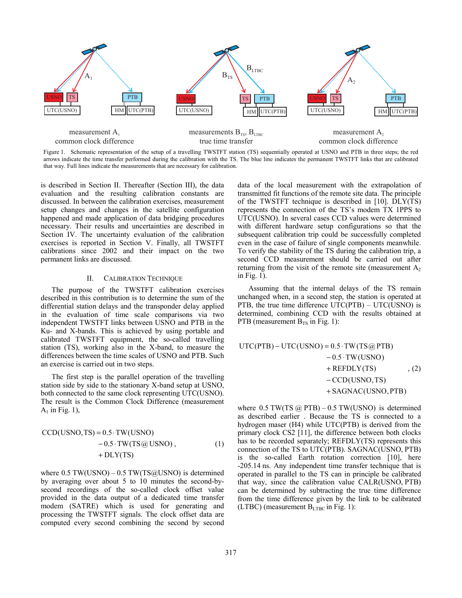

Figure 1. Schematic representation of the setup of a travelling TWSTFT station (TS) sequentially operated at USNO and PTB in three steps; the red arrows indicate the time transfer performed during the calibration with the TS. The blue line indicates the permanent TWSTFT links that are calibrated that way. Full lines indicate the measurements that are necessary for calibration.

is described in Section II. Thereafter (Section III), the data evaluation and the resulting calibration constants are discussed. In between the calibration exercises, measurement setup changes and changes in the satellite configuration happened and made application of data bridging procedures necessary. Their results and uncertainties are described in Section IV. The uncertainty evaluation of the calibration exercises is reported in Section V. Finally, all TWSTFT calibrations since 2002 and their impact on the two permanent links are discussed.

## II. CALIBRATION TECHNIQUE

The purpose of the TWSTFT calibration exercises described in this contribution is to determine the sum of the differential station delays and the transponder delay applied in the evaluation of time scale comparisons via two independent TWSTFT links between USNO and PTB in the Ku- and X-bands. This is achieved by using portable and calibrated TWSTFT equipment, the so-called travelling station (TS), working also in the X-band, to measure the differences between the time scales of USNO and PTB. Such an exercise is carried out in two steps.

The first step is the parallel operation of the travelling station side by side to the stationary X-band setup at USNO, both connected to the same clock representing UTC(USNO). The result is the Common Clock Difference (measurement  $A_1$  in Fig. 1),

$$
CCD(USNO, TS) = 0.5 \cdot TW(USNO)
$$
  
- 0.5 \cdot TW(TS@USNO),  
+ DLY(TS) (1)

where  $0.5$  TW(USNO) –  $0.5$  TW(TS@USNO) is determined by averaging over about 5 to 10 minutes the second-bysecond recordings of the so-called clock offset value provided in the data output of a dedicated time transfer modem (SATRE) which is used for generating and processing the TWSTFT signals. The clock offset data are computed every second combining the second by second data of the local measurement with the extrapolation of transmitted fit functions of the remote site data. The principle of the TWSTFT technique is described in [10]. DLY(TS) represents the connection of the TS's modem TX 1PPS to UTC(USNO). In several cases CCD values were determined with different hardware setup configurations so that the subsequent calibration trip could be successfully completed even in the case of failure of single components meanwhile. To verify the stability of the TS during the calibration trip, a second CCD measurement should be carried out after returning from the visit of the remote site (measurement  $A_2$ ) in Fig. 1).

Assuming that the internal delays of the TS remain unchanged when, in a second step, the station is operated at PTB, the true time difference  $UTC(PTB) - UTC(USNO)$  is determined, combining CCD with the results obtained at PTB (measurement  $B_{TS}$  in Fig. 1):

$$
UTC(PTB) – UTC(USNO) = 0.5 \cdot TW(TS@PTB)
$$
  
\n
$$
- 0.5 \cdot TW(USNO)
$$
  
\n
$$
+ REFDLY(TS) , (2)
$$
  
\n
$$
- CCD(USNO, TS)
$$
  
\n
$$
+ SAGNAC(USNO,PTB)
$$

where  $0.5$  TW(TS  $\omega$  PTB) – 0.5 TW(USNO) is determined as described earlier . Because the TS is connected to a hydrogen maser (H4) while UTC(PTB) is derived from the primary clock CS2 [11], the difference between both clocks has to be recorded separately; REFDLY(TS) represents this connection of the TS to UTC(PTB). SAGNAC(USNO, PTB) is the so-called Earth rotation correction [10], here -205.14 ns. Any independent time transfer technique that is operated in parallel to the TS can in principle be calibrated that way, since the calibration value CALR(USNO, PTB) can be determined by subtracting the true time difference from the time difference given by the link to be calibrated (LTBC) (measurement  $B_{LTBC}$  in Fig. 1):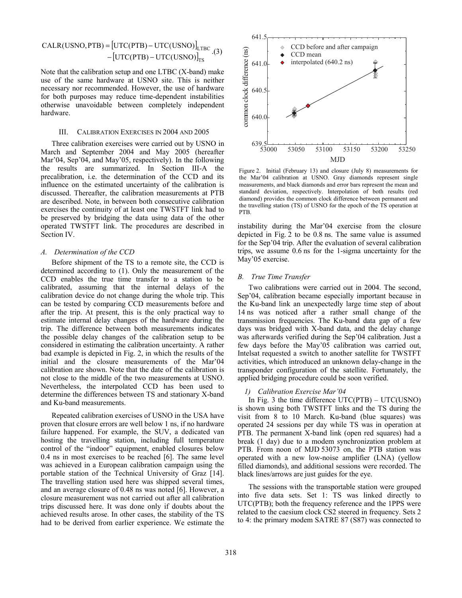CALR(USNO, PTB) = 
$$
[UTC(PTB) - UTC(USNO)]_{LTBC}.
$$
 (3) 
$$
-[UTC(PTB) - UTC(USNO)]_{TS}.
$$

Note that the calibration setup and one LTBC (X-band) make use of the same hardware at USNO site. This is neither necessary nor recommended. However, the use of hardware for both purposes may reduce time-dependent instabilities otherwise unavoidable between completely independent hardware.

# III. CALIBRATION EXERCISES IN 2004 AND 2005

Three calibration exercises were carried out by USNO in March and September 2004 and May 2005 (hereafter Mar'04, Sep'04, and May'05, respectively). In the following the results are summarized. In Section III-A the precalibration, i.e. the determination of the CCD and its influence on the estimated uncertainty of the calibration is discussed. Thereafter, the calibration measurements at PTB are described. Note, in between both consecutive calibration exercises the continuity of at least one TWSTFT link had to be preserved by bridging the data using data of the other operated TWSTFT link. The procedures are described in Section IV.

#### *A. Determination of the CCD*

Before shipment of the TS to a remote site, the CCD is determined according to (1). Only the measurement of the CCD enables the true time transfer to a station to be calibrated, assuming that the internal delays of the calibration device do not change during the whole trip. This can be tested by comparing CCD measurements before and after the trip. At present, this is the only practical way to estimate internal delay changes of the hardware during the trip. The difference between both measurements indicates the possible delay changes of the calibration setup to be considered in estimating the calibration uncertainty. A rather bad example is depicted in Fig. 2, in which the results of the initial and the closure measurements of the Mar'04 calibration are shown. Note that the date of the calibration is not close to the middle of the two measurements at USNO. Nevertheless, the interpolated CCD has been used to determine the differences between TS and stationary X-band and Ku-band measurements.

Repeated calibration exercises of USNO in the USA have proven that closure errors are well below 1 ns, if no hardware failure happened. For example, the SUV, a dedicated van hosting the travelling station, including full temperature control of the "indoor" equipment, enabled closures below 0.4 ns in most exercises to be reached [6]. The same level was achieved in a European calibration campaign using the portable station of the Technical University of Graz [14]. The travelling station used here was shipped several times, and an average closure of 0.48 ns was noted [6]. However, a closure measurement was not carried out after all calibration trips discussed here. It was done only if doubts about the achieved results arose. In other cases, the stability of the TS had to be derived from earlier experience. We estimate the



Figure 2. Initial (February 13) and closure (July 8) measurements for the Mar'04 calibration at USNO. Gray diamonds represent single measurements, and black diamonds and error bars represent the mean and standard deviation, respectively. Interpolation of both results (red diamond) provides the common clock difference between permanent and the travelling station (TS) of USNO for the epoch of the TS operation at PTB.

instability during the Mar'04 exercise from the closure depicted in Fig. 2 to be 0.8 ns. The same value is assumed for the Sep'04 trip. After the evaluation of several calibration trips, we assume 0.6 ns for the 1-sigma uncertainty for the May'05 exercise.

## *B. True Time Transfer*

Two calibrations were carried out in 2004. The second, Sep'04, calibration became especially important because in the Ku-band link an unexpectedly large time step of about 14 ns was noticed after a rather small change of the transmission frequencies. The Ku-band data gap of a few days was bridged with X-band data, and the delay change was afterwards verified during the Sep'04 calibration. Just a few days before the May'05 calibration was carried out, Intelsat requested a switch to another satellite for TWSTFT activities, which introduced an unknown delay-change in the transponder configuration of the satellite. Fortunately, the applied bridging procedure could be soon verified.

#### *1) Calibration Exercise Mar'04*

In Fig. 3 the time difference UTC(PTB) – UTC(USNO) is shown using both TWSTFT links and the TS during the visit from 8 to 10 March. Ku-band (blue squares) was operated 24 sessions per day while TS was in operation at PTB. The permanent X-band link (open red squares) had a break (1 day) due to a modem synchronization problem at PTB. From noon of MJD 53073 on, the PTB station was operated with a new low-noise amplifier (LNA) (yellow filled diamonds), and additional sessions were recorded. The black lines/arrows are just guides for the eye.

The sessions with the transportable station were grouped into five data sets. Set 1: TS was linked directly to UTC(PTB); both the frequency reference and the 1PPS were related to the caesium clock CS2 steered in frequency. Sets 2 to 4: the primary modem SATRE 87 (S87) was connected to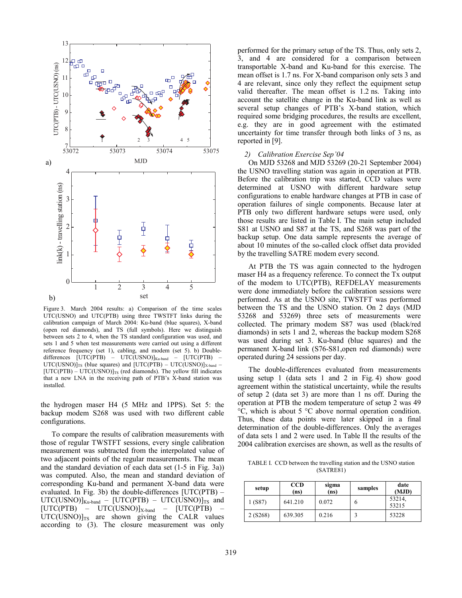

Figure 3. March 2004 results: a) Comparison of the time scales UTC(USNO) and UTC(PTB) using three TWSTFT links during the calibration campaign of March 2004: Ku-band (blue squares), X-band (open red diamonds), and TS (full symbols). Here we distinguish between sets 2 to 4, when the TS standard configuration was used, and sets 1 and 5 when test measurements were carried out using a different reference frequency (set 1), cabling, and modem (set 5). b) Doubledifferences [UTC(PTB) – UTC(USNO)]<sub>Ku-band</sub> – [UTC(PTB) –  $UTC(USNO)$ <sub>ITS</sub> (blue squares) and  $[UTC(PTB) - UTC(USNO)]_{X-band}$  –  $[UTC(PTB) - UTC(USNO)]_{TS}$  (red diamonds). The yellow fill indicates that a new LNA in the receiving path of PTB's X-band station was installed.

the hydrogen maser H4 (5 MHz and 1PPS). Set 5: the backup modem S268 was used with two different cable configurations.

To compare the results of calibration measurements with those of regular TWSTFT sessions, every single calibration measurement was subtracted from the interpolated value of two adjacent points of the regular measurements. The mean and the standard deviation of each data set (1-5 in Fig. 3a)) was computed. Also, the mean and standard deviation of corresponding Ku-band and permanent X-band data were evaluated. In Fig. 3b) the double-differences [UTC(PTB) –  $UTC(USNO)]_{Ku-band} - [UTC(PTB) - UTC(USNO)]_{TS}$  and  $[UTC(PTB) - UTC(USNO)]_{X-band} - [UTC(PTB)$  $UTC(USNO)$ <sub>IS</sub> are shown giving the CALR values according to (3). The closure measurement was only

performed for the primary setup of the TS. Thus, only sets 2, 3, and 4 are considered for a comparison between transportable X-band and Ku-band for this exercise. The mean offset is 1.7 ns. For X-band comparison only sets 3 and 4 are relevant, since only they reflect the equipment setup valid thereafter. The mean offset is 1.2 ns. Taking into account the satellite change in the Ku-band link as well as several setup changes of PTB's X-band station, which required some bridging procedures, the results are excellent, e.g. they are in good agreement with the estimated uncertainty for time transfer through both links of 3 ns, as reported in [9].

#### *2) Calibration Exercise Sep'04*

On MJD 53268 and MJD 53269 (20-21 September 2004) the USNO travelling station was again in operation at PTB. Before the calibration trip was started, CCD values were determined at USNO with different hardware setup configurations to enable hardware changes at PTB in case of operation failures of single components. Because later at PTB only two different hardware setups were used, only those results are listed in Table I. The main setup included S81 at USNO and S87 at the TS, and S268 was part of the backup setup. One data sample represents the average of about 10 minutes of the so-called clock offset data provided by the travelling SATRE modem every second.

At PTB the TS was again connected to the hydrogen maser H4 as a frequency reference. To connect the Tx output of the modem to UTC(PTB), REFDELAY measurements were done immediately before the calibration sessions were performed. As at the USNO site, TWSTFT was performed between the TS and the USNO station. On 2 days (MJD 53268 and 53269) three sets of measurements were collected. The primary modem S87 was used (black/red diamonds) in sets 1 and 2, whereas the backup modem S268 was used during set 3. Ku-band (blue squares) and the permanent X-band link (S76-S81,open red diamonds) were operated during 24 sessions per day.

The double-differences evaluated from measurements using setup 1 (data sets 1 and 2 in Fig. 4) show good agreement within the statistical uncertainty, while the results of setup 2 (data set 3) are more than 1 ns off. During the operation at PTB the modem temperature of setup 2 was 49 °C, which is about 5 °C above normal operation condition. Thus, these data points were later skipped in a final determination of the double-differences. Only the averages of data sets 1 and 2 were used. In Table II the results of the 2004 calibration exercises are shown, as well as the results of

TABLE I. CCD between the travelling station and the USNO station (SATRE81)

| setup   | <b>CCD</b><br>(ns) | sigma<br>(ns) | samples | date<br>(MJD)   |  |
|---------|--------------------|---------------|---------|-----------------|--|
| 1(S87)  | 641.210            | 0.072         | h       | 53214,<br>53215 |  |
| 2(S268) | 639.305            | 0.216         |         | 53228           |  |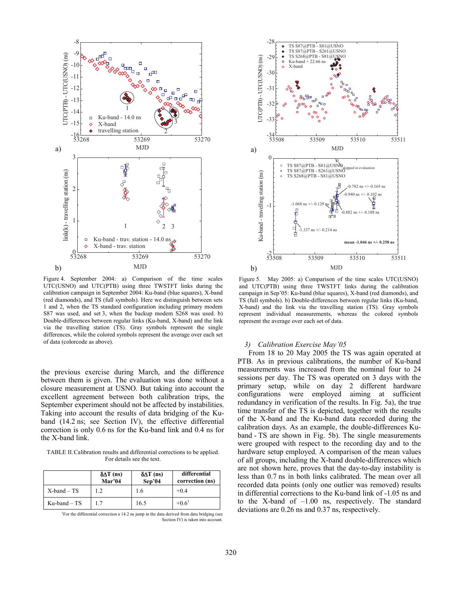

Figure 4. September 2004: a) Comparison of the time scales UTC(USNO) and UTC(PTB) using three TWSTFT links during the calibration campaign in September 2004: Ku-band (blue squares), X-band (red diamonds), and TS (full symbols). Here we distinguish between sets 1 and 2, when the TS standard configuration including primary modem S87 was used, and set 3, when the backup modem S268 was used. b) Double-differences between regular links (Ku-band, X-band) and the link via the travelling station (TS). Gray symbols represent the single differences, while the colored symbols represent the average over each set of data (colorcode as above).

the previous exercise during March, and the difference between them is given. The evaluation was done without a closure measurement at USNO. But taking into account the excellent agreement between both calibration trips, the September experiment should not be affected by instabilities. Taking into account the results of data bridging of the Kuband (14.2 ns; see Section IV), the effective differential correction is only 0.6 ns for the Ku-band link and 0.4 ns for the X-band link.

TABLE II. Calibration results and differential corrections to be applied. For details see the text.

|                  | $\delta \Delta T$ (ns)<br>Mar'04 | $\delta \Delta T$ (ns)<br>Sep <sup>3</sup> 04 | differential<br>correction (ns) |
|------------------|----------------------------------|-----------------------------------------------|---------------------------------|
| $X$ -band $-$ TS | 12                               | 1.6                                           | $+0.4$                          |
| $Ku$ -band – TS  | 17                               | 16.5                                          | $+0.6^1$                        |

<sup>1</sup>For the differential correction a 14.2 ns jump in the data derived from data bridging (see Section IV) is taken into account.



Figure 5. May 2005: a) Comparison of the time scales UTC(USNO) and UTC(PTB) using three TWSTFT links during the calibration campaign in Sep'05: Ku-band (blue squares), X-band (red diamonds), and TS (full symbols). b) Double-differences between regular links (Ku-band, X-band) and the link via the travelling station (TS). Gray symbols represent individual measurements, whereas the colored symbols represent the average over each set of data.

#### *3) Calibration Exercise May'05*

From 18 to 20 May 2005 the TS was again operated at PTB. As in previous calibrations, the number of Ku-band measurements was increased from the nominal four to 24 sessions per day. The TS was operated on 3 days with the primary setup, while on day 2 different hardware configurations were employed aiming at sufficient redundancy in verification of the results. In Fig. 5a), the true time transfer of the TS is depicted, together with the results of the X-band and the Ku-band data recorded during the calibration days. As an example, the double-differences Kuband - TS are shown in Fig. 5b). The single measurements were grouped with respect to the recording day and to the hardware setup employed. A comparison of the mean values of all groups, including the X-band double-differences which are not shown here, proves that the day-to-day instability is less than 0.7 ns in both links calibrated. The mean over all recorded data points (only one outlier was removed) results in differential corrections to the Ku-band link of -1.05 ns and to the X-band of –1.00 ns, respectively. The standard deviations are 0.26 ns and 0.37 ns, respectively.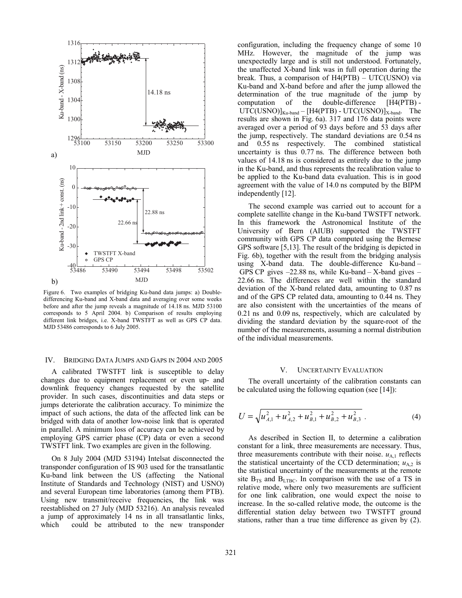

Figure 6. Two examples of bridging Ku-band data jumps: a) Doubledifferencing Ku-band and X-band data and averaging over some weeks before and after the jump reveals a magnitude of 14.18 ns. MJD 53100 corresponds to 5 April 2004. b) Comparison of results employing different link bridges, i.e. X-band TWSTFT as well as GPS CP data. MJD 53486 corresponds to 6 July 2005.

# IV. BRIDGING DATA JUMPS AND GAPS IN 2004 AND 2005

A calibrated TWSTFT link is susceptible to delay changes due to equipment replacement or even up- and downlink frequency changes requested by the satellite provider. In such cases, discontinuities and data steps or jumps deteriorate the calibration accuracy. To minimize the impact of such actions, the data of the affected link can be bridged with data of another low-noise link that is operated in parallel. A minimum loss of accuracy can be achieved by employing GPS carrier phase (CP) data or even a second TWSTFT link. Two examples are given in the following.

On 8 July 2004 (MJD 53194) Intelsat disconnected the transponder configuration of IS 903 used for the transatlantic Ku-band link between the US (affecting the National Institute of Standards and Technology (NIST) and USNO) and several European time laboratories (among them PTB). Using new transmit/receive frequencies, the link was reestablished on 27 July (MJD 53216). An analysis revealed a jump of approximately 14 ns in all transatlantic links, which could be attributed to the new transponder configuration, including the frequency change of some 10 MHz. However, the magnitude of the jump was unexpectedly large and is still not understood. Fortunately, the unaffected X-band link was in full operation during the break. Thus, a comparison of H4(PTB) – UTC(USNO) via Ku-band and X-band before and after the jump allowed the determination of the true magnitude of the jump by computation of the double-difference [H4(PTB) -  $UTC(USNO)$ ]<sub>Ku-band</sub> – [H4(PTB) - UTC(USNO)]<sub>X-band</sub>. The results are shown in Fig. 6a). 317 and 176 data points were averaged over a period of 93 days before and 53 days after the jump, respectively. The standard deviations are 0.54 ns and 0.55 ns respectively. The combined statistical uncertainty is thus 0.77 ns. The difference between both values of 14.18 ns is considered as entirely due to the jump in the Ku-band, and thus represents the recalibration value to be applied to the Ku-band data evaluation. This is in good agreement with the value of 14.0 ns computed by the BIPM independently [12].

The second example was carried out to account for a complete satellite change in the Ku-band TWSTFT network. In this framework the Astronomical Institute of the University of Bern (AIUB) supported the TWSTFT community with GPS CP data computed using the Bernese GPS software [5,13]. The result of the bridging is depicted in Fig. 6b), together with the result from the bridging analysis using X-band data. The double-difference Ku-band – GPS CP gives  $-22.88$  ns, while Ku-band  $-$  X-band gives  $-$ 22.66 ns. The differences are well within the standard deviation of the X-band related data, amounting to 0.87 ns and of the GPS CP related data, amounting to 0.44 ns. They are also consistent with the uncertainties of the means of 0.21 ns and 0.09 ns, respectively, which are calculated by dividing the standard deviation by the square-root of the number of the measurements, assuming a normal distribution of the individual measurements.

## V. UNCERTAINTY EVALUATION

The overall uncertainty of the calibration constants can be calculated using the following equation (see [14]):

$$
U = \sqrt{u_{A,1}^2 + u_{A,2}^2 + u_{B,1}^2 + u_{B,2}^2 + u_{B,3}^2} \ . \tag{4}
$$

As described in Section II, to determine a calibration constant for a link, three measurements are necessary. Thus, three measurements contribute with their noise.  $u_{A,1}$  reflects the statistical uncertainty of the CCD determination;  $u_{A,2}$  is the statistical uncertainty of the measurements at the remote site  $B_{TS}$  and  $B_{LTBC}$ . In comparison with the use of a TS in relative mode, where only two measurements are sufficient for one link calibration, one would expect the noise to increase. In the so-called relative mode, the outcome is the differential station delay between two TWSTFT ground stations, rather than a true time difference as given by (2).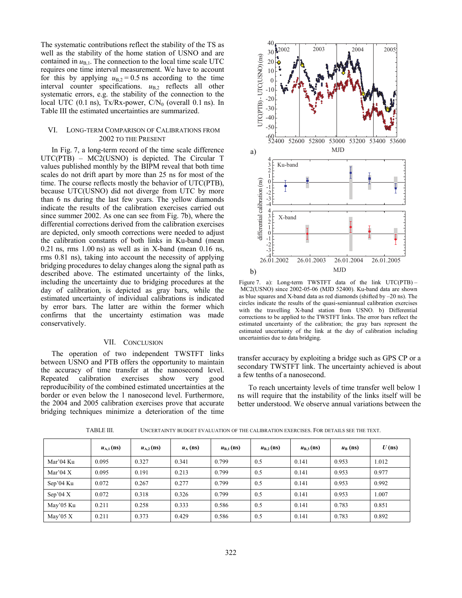The systematic contributions reflect the stability of the TS as well as the stability of the home station of USNO and are contained in  $u_{B,1}$ . The connection to the local time scale UTC requires one time interval measurement. We have to account for this by applying  $u_{B,2} = 0.5$  ns according to the time interval counter specifications.  $u_{B,2}$  reflects all other systematic errors, e.g. the stability of the connection to the local UTC (0.1 ns), Tx/Rx-power,  $CN_0$  (overall 0.1 ns). In Table III the estimated uncertainties are summarized.

## VI. LONG-TERM COMPARISON OF CALIBRATIONS FROM 2002 TO THE PRESENT

In Fig. 7, a long-term record of the time scale difference UTC(PTB) – MC2(USNO) is depicted. The Circular T values published monthly by the BIPM reveal that both time scales do not drift apart by more than 25 ns for most of the time. The course reflects mostly the behavior of UTC(PTB), because UTC(USNO) did not diverge from UTC by more than 6 ns during the last few years. The yellow diamonds indicate the results of the calibration exercises carried out since summer 2002. As one can see from Fig. 7b), where the differential corrections derived from the calibration exercises are depicted, only smooth corrections were needed to adjust the calibration constants of both links in Ku-band (mean  $0.21$  ns, rms  $1.00$  ns) as well as in X-band (mean  $0.16$  ns, rms 0.81 ns), taking into account the necessity of applying bridging procedures to delay changes along the signal path as described above. The estimated uncertainty of the links, including the uncertainty due to bridging procedures at the day of calibration, is depicted as gray bars, while the estimated uncertainty of individual calibrations is indicated by error bars. The latter are within the former which confirms that the uncertainty estimation was made conservatively.

#### VII. CONCLUSION

The operation of two independent TWSTFT links between USNO and PTB offers the opportunity to maintain the accuracy of time transfer at the nanosecond level. Repeated calibration exercises show very good reproducibility of the combined estimated uncertainties at the border or even below the 1 nanosecond level. Furthermore, the 2004 and 2005 calibration exercises prove that accurate bridging techniques minimize a deterioration of the time



Figure 7. a): Long-term TWSTFT data of the link UTC(PTB) – MC2(USNO) since 2002-05-06 (MJD 52400). Ku-band data are shown as blue squares and X-band data as red diamonds (shifted by –20 ns). The circles indicate the results of the quasi-semiannual calibration exercises with the travelling X-band station from USNO. b) Differential corrections to be applied to the TWSTFT links. The error bars reflect the estimated uncertainty of the calibration; the gray bars represent the estimated uncertainty of the link at the day of calibration including uncertainties due to data bridging.

transfer accuracy by exploiting a bridge such as GPS CP or a secondary TWSTFT link. The uncertainty achieved is about a few tenths of a nanosecond.

To reach uncertainty levels of time transfer well below 1 ns will require that the instability of the links itself will be better understood. We observe annual variations between the

|            | $u_{A,1}$ (ns) | $u_{A,2}$ (ns) | $u_A$ (ns) | $u_{\rm B,1}$ (ns) | $u_{\rm B,2}$ (ns) | $u_{B,3}$ (ns) | $u_{\rm B}$ (ns) | $U$ (ns) |
|------------|----------------|----------------|------------|--------------------|--------------------|----------------|------------------|----------|
| Mar'04 Ku  | 0.095          | 0.327          | 0.341      | 0.799              | 0.5                | 0.141          | 0.953            | 1.012    |
| Mar'04 $X$ | 0.095          | 0.191          | 0.213      | 0.799              | 0.5                | 0.141          | 0.953            | 0.977    |
| Sep'04 Ku  | 0.072          | 0.267          | 0.277      | 0.799              | 0.5                | 0.141          | 0.953            | 0.992    |
| Sep'04 $X$ | 0.072          | 0.318          | 0.326      | 0.799              | 0.5                | 0.141          | 0.953            | 1.007    |
| May'05 Ku  | 0.211          | 0.258          | 0.333      | 0.586              | 0.5                | 0.141          | 0.783            | 0.851    |
| May'05 $X$ | 0.211          | 0.373          | 0.429      | 0.586              | 0.5                | 0.141          | 0.783            | 0.892    |

TABLE III. UNCERTAINTY BUDGET EVALUATION OF THE CALIBRATION EXERCISES. FOR DETAILS SEE THE TEXT.